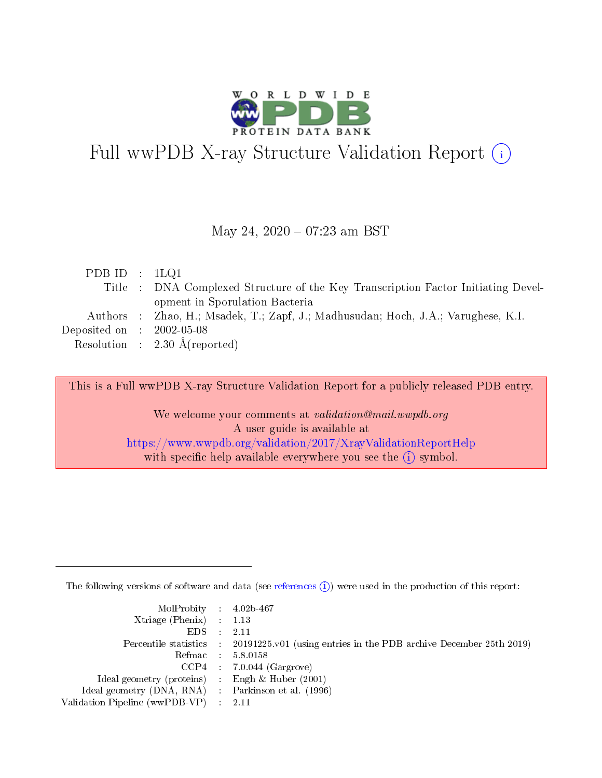

# Full wwPDB X-ray Structure Validation Report (i)

#### May 24,  $2020 - 07:23$  am BST

| PDB ID : $1LQ1$                      |                                                                                   |
|--------------------------------------|-----------------------------------------------------------------------------------|
|                                      | Title : DNA Complexed Structure of the Key Transcription Factor Initiating Devel- |
|                                      | opment in Sporulation Bacteria                                                    |
|                                      | Authors : Zhao, H.; Msadek, T.; Zapf, J.; Madhusudan; Hoch, J.A.; Varughese, K.I. |
| Deposited on $\therefore$ 2002-05-08 |                                                                                   |
|                                      | Resolution : $2.30 \text{ Å}$ (reported)                                          |

This is a Full wwPDB X-ray Structure Validation Report for a publicly released PDB entry.

We welcome your comments at validation@mail.wwpdb.org A user guide is available at <https://www.wwpdb.org/validation/2017/XrayValidationReportHelp> with specific help available everywhere you see the  $(i)$  symbol.

The following versions of software and data (see [references](https://www.wwpdb.org/validation/2017/XrayValidationReportHelp#references)  $(i)$ ) were used in the production of this report:

| MolProbity : 4.02b-467                              |                                                                                            |
|-----------------------------------------------------|--------------------------------------------------------------------------------------------|
| Xtriage (Phenix) $: 1.13$                           |                                                                                            |
| $EDS = 2.11$                                        |                                                                                            |
|                                                     | Percentile statistics : 20191225.v01 (using entries in the PDB archive December 25th 2019) |
|                                                     | Refmac : 5.8.0158                                                                          |
|                                                     | $CCP4$ : 7.0.044 (Gargrove)                                                                |
| Ideal geometry (proteins) : Engh $\&$ Huber (2001)  |                                                                                            |
| Ideal geometry (DNA, RNA) : Parkinson et al. (1996) |                                                                                            |
| Validation Pipeline (wwPDB-VP) : 2.11               |                                                                                            |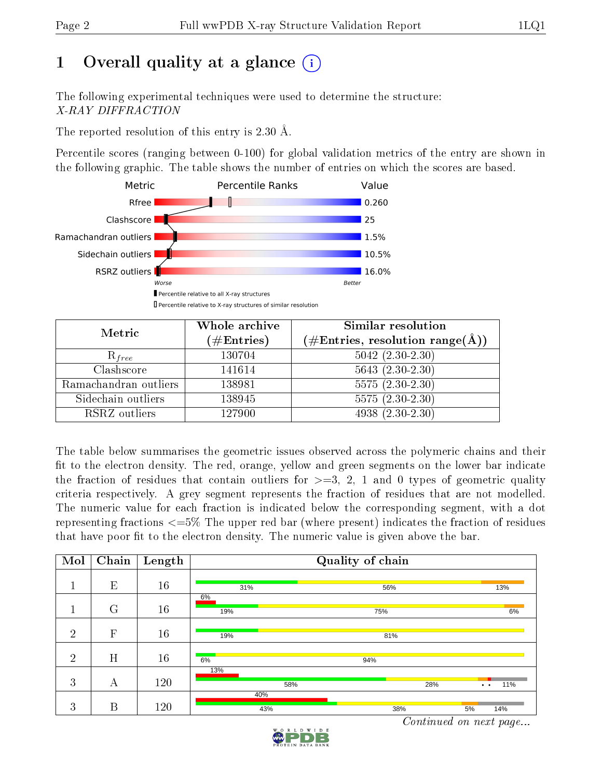# 1 [O](https://www.wwpdb.org/validation/2017/XrayValidationReportHelp#overall_quality)verall quality at a glance  $(i)$

The following experimental techniques were used to determine the structure: X-RAY DIFFRACTION

The reported resolution of this entry is 2.30 Å.

Percentile scores (ranging between 0-100) for global validation metrics of the entry are shown in the following graphic. The table shows the number of entries on which the scores are based.



| Metric                | Whole archive        | Similar resolution                                         |
|-----------------------|----------------------|------------------------------------------------------------|
|                       | $(\#\text{Entries})$ | $(\#\text{Entries}, \text{resolution range}(\text{\AA})\)$ |
| $R_{free}$            | 130704               | $5042 (2.30 - 2.30)$                                       |
| Clashscore            | 141614               | $5643$ $(2.30-2.30)$                                       |
| Ramachandran outliers | 138981               | $5575(2.30-2.30)$                                          |
| Sidechain outliers    | 138945               | $5575(2.30-2.30)$                                          |
| RSRZ outliers         | 127900               | $4938(2.30-2.30)$                                          |

The table below summarises the geometric issues observed across the polymeric chains and their fit to the electron density. The red, orange, yellow and green segments on the lower bar indicate the fraction of residues that contain outliers for  $\geq=3$ , 2, 1 and 0 types of geometric quality criteria respectively. A grey segment represents the fraction of residues that are not modelled. The numeric value for each fraction is indicated below the corresponding segment, with a dot representing fractions  $\epsilon=5\%$  The upper red bar (where present) indicates the fraction of residues that have poor fit to the electron density. The numeric value is given above the bar.

| Mol            | Chain        | $\overline{\text{Length}}$ |     |     | Quality of chain |     |                     |     |
|----------------|--------------|----------------------------|-----|-----|------------------|-----|---------------------|-----|
|                |              |                            |     |     |                  |     |                     |     |
|                | E            | 16                         | 31% |     | 56%              |     |                     | 13% |
|                |              |                            | 6%  |     |                  |     |                     |     |
|                | G            | 16                         | 19% |     | 75%              |     |                     | 6%  |
|                |              |                            |     |     |                  |     |                     |     |
| $\overline{2}$ | $\mathbf{F}$ | 16                         | 19% |     | 81%              |     |                     |     |
|                |              |                            |     |     |                  |     |                     |     |
| $\overline{2}$ | H            | 16                         | 6%  |     | 94%              |     |                     |     |
|                |              |                            | 13% |     |                  |     |                     |     |
| 3              | А            | 120                        |     | 58% |                  | 28% | $\bullet$ $\bullet$ | 11% |
|                |              |                            | 40% |     |                  |     |                     |     |
| 3              | B            | 120                        | 43% |     | 38%              |     | 5%                  | 14% |

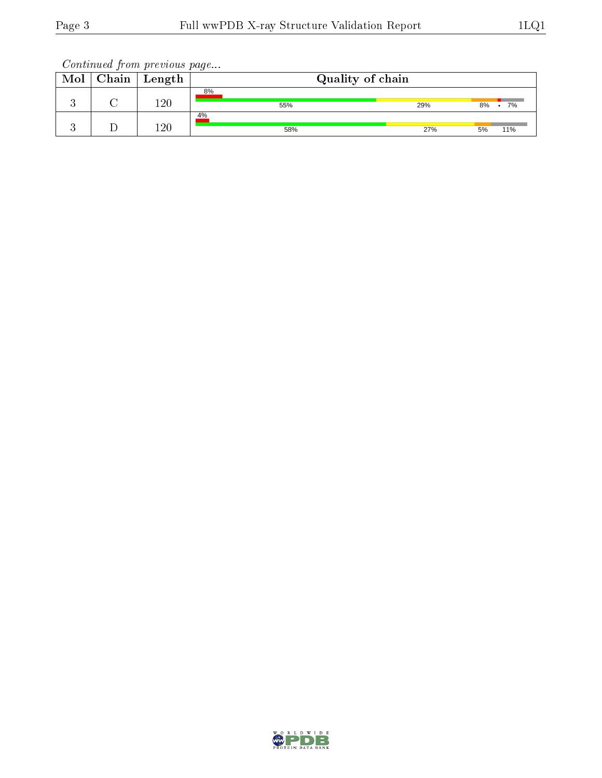| Mol | Chain | Length  | Quality of chain |     |    |     |
|-----|-------|---------|------------------|-----|----|-----|
|     |       | 120     | 8%<br>55%        | 29% | 8% | 7%  |
|     |       |         | 4%               |     |    |     |
|     |       | $120\,$ | 58%              | 27% | 5% | 11% |

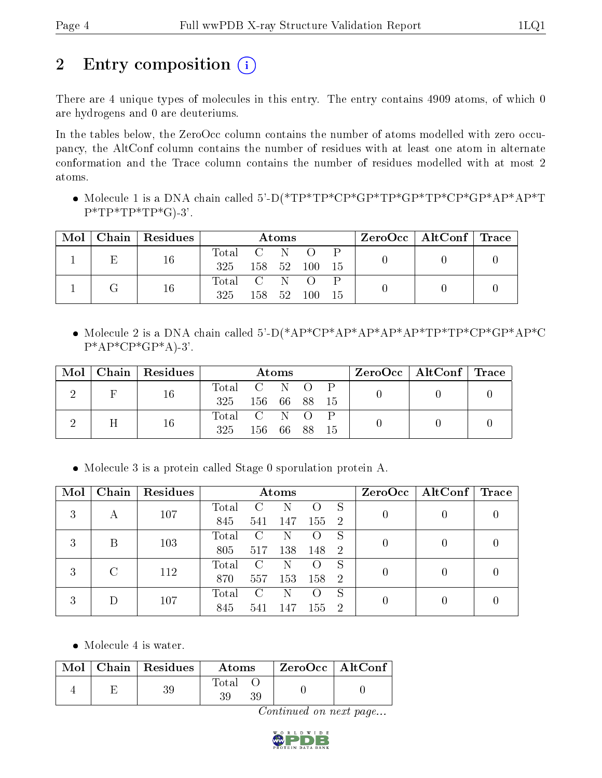# 2 Entry composition (i)

There are 4 unique types of molecules in this entry. The entry contains 4909 atoms, of which 0 are hydrogens and 0 are deuteriums.

In the tables below, the ZeroOcc column contains the number of atoms modelled with zero occupancy, the AltConf column contains the number of residues with at least one atom in alternate conformation and the Trace column contains the number of residues modelled with at most 2 atoms.

 Molecule 1 is a DNA chain called 5'-D(\*TP\*TP\*CP\*GP\*TP\*GP\*TP\*CP\*GP\*AP\*AP\*T  $P^*TP^*TP^*TP^*G$ -3'.

| Mol |   | $\mid$ Chain $\mid$ Residues | Atoms       |       |       |                  |      |  | $\text{ZeroOcc} \mid \text{AltConf} \mid \text{Trace}$ |  |
|-----|---|------------------------------|-------------|-------|-------|------------------|------|--|--------------------------------------------------------|--|
|     | Ε | 16                           | Total C N   |       |       | $\left( \right)$ |      |  |                                                        |  |
|     |   |                              | 325         |       |       | 158 52 100       | - 15 |  |                                                        |  |
|     |   | 16                           | Total C N O |       |       |                  |      |  |                                                        |  |
|     |   |                              | 325         | 158 - | -52 - | -100             |      |  |                                                        |  |

 Molecule 2 is a DNA chain called 5'-D(\*AP\*CP\*AP\*AP\*AP\*AP\*TP\*TP\*CP\*GP\*AP\*C  $P^*AP^*CP^*GP^*A$ -3'.

| Mol | Chain   Residues | <b>Atoms</b>  |              |  |  |    |  | $\text{ZeroOcc} \mid \text{AltConf} \mid \text{Trace}$ |  |
|-----|------------------|---------------|--------------|--|--|----|--|--------------------------------------------------------|--|
|     | 16               | Total C N O P |              |  |  |    |  |                                                        |  |
|     |                  | 325           | 156 66 88 15 |  |  |    |  |                                                        |  |
|     |                  | Total C N O   |              |  |  |    |  |                                                        |  |
|     | 16               | 325           | 156 66 88    |  |  | 15 |  |                                                        |  |

Molecule 3 is a protein called Stage 0 sporulation protein A.

| Mol | Chain | Residues | Atoms |               |     |                    |                | ZeroOcc | $\mid$ AltConf $\mid$ | Trace |
|-----|-------|----------|-------|---------------|-----|--------------------|----------------|---------|-----------------------|-------|
| 3   |       | 107      | Total |               |     |                    | S              |         |                       |       |
|     | А     |          | 845   | 541           | 147 | 155                | $\overline{2}$ |         |                       |       |
| 3   | В     | 103      | Total | $\mathcal{C}$ | N   |                    | S              |         |                       |       |
|     |       |          | 805   | 517           | 138 | 148                | $\overline{2}$ |         |                       |       |
| 3   |       | 112      | Total | $\mathbf C$   | N   |                    | S              |         |                       |       |
|     |       |          | 870   | 557           | 153 | 158                | $\overline{2}$ |         |                       |       |
| 3   |       | 107      | Total | C             | N   | $\left( \ \right)$ | S              |         |                       |       |
|     |       |          | 845   | 541           | 147 | 155                | $\overline{2}$ |         |                       |       |

• Molecule 4 is water.

|  | $\text{Mol}$   Chain   Residues | Atoms       | $ZeroOcc$ $\boxed{\text{AltConf}}$ |
|--|---------------------------------|-------------|------------------------------------|
|  |                                 | Total<br>39 |                                    |

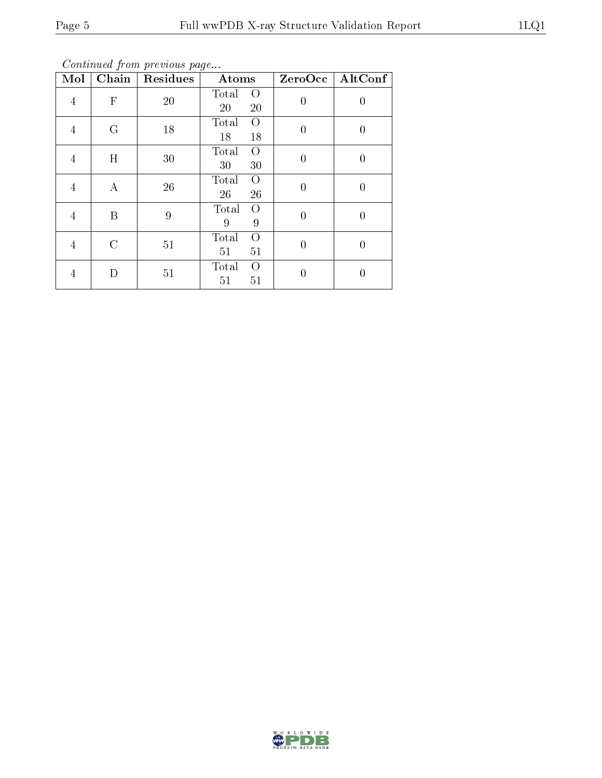Continued from previous page...

| Mol            | $\overline{\text{Chain}}$ | Residues | Atoms                         | ZeroOcc        | AltConf |
|----------------|---------------------------|----------|-------------------------------|----------------|---------|
| $\overline{4}$ | $\mathbf{F}$              | 20       | Total<br>$\Omega$<br>20<br>20 | $\overline{0}$ | 0       |
| 4              | G                         | 18       | Total<br>$\Omega$<br>18<br>18 | $\overline{0}$ | 0       |
| 4              | H                         | 30       | Total<br>$\Omega$<br>30<br>30 | $\overline{0}$ | 0       |
| 4              | А                         | 26       | Total<br>$\Omega$<br>26<br>26 | $\overline{0}$ | 0       |
| 4              | B                         | 9        | Total<br>$\Omega$<br>9<br>9   | $\overline{0}$ | 0       |
| 4              | $\mathcal{C}$             | 51       | Total<br>$\Omega$<br>51<br>51 | $\Omega$       | 0       |
| 4              | D                         | 51       | Total<br>$\Omega$<br>51<br>51 | $\Omega$       |         |

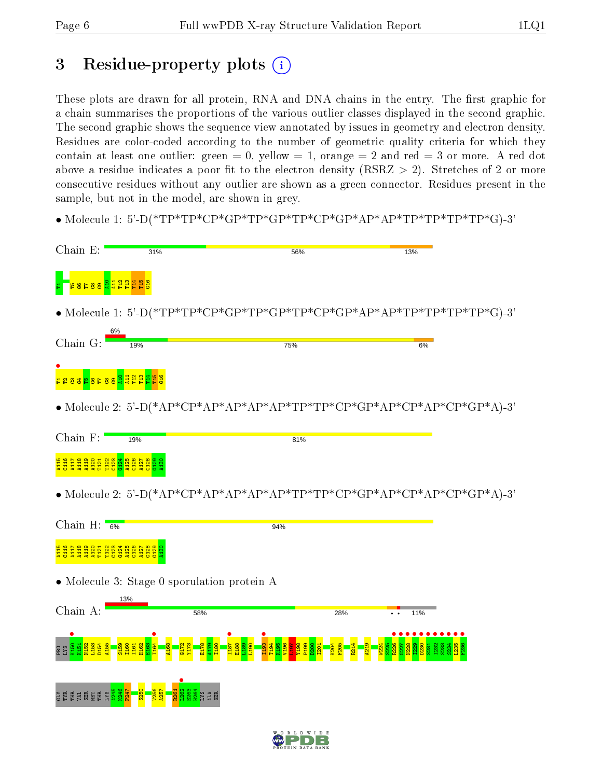## 3 Residue-property plots  $(i)$

These plots are drawn for all protein, RNA and DNA chains in the entry. The first graphic for a chain summarises the proportions of the various outlier classes displayed in the second graphic. The second graphic shows the sequence view annotated by issues in geometry and electron density. Residues are color-coded according to the number of geometric quality criteria for which they contain at least one outlier: green  $= 0$ , yellow  $= 1$ , orange  $= 2$  and red  $= 3$  or more. A red dot above a residue indicates a poor fit to the electron density (RSRZ  $> 2$ ). Stretches of 2 or more consecutive residues without any outlier are shown as a green connector. Residues present in the sample, but not in the model, are shown in grey.

• Molecule 1: 5'-D(\*TP\*TP\*CP\*GP\*TP\*GP\*TP\*CP\*GP\*AP\*AP\*TP\*TP\*TP\*TP\*G)-3'

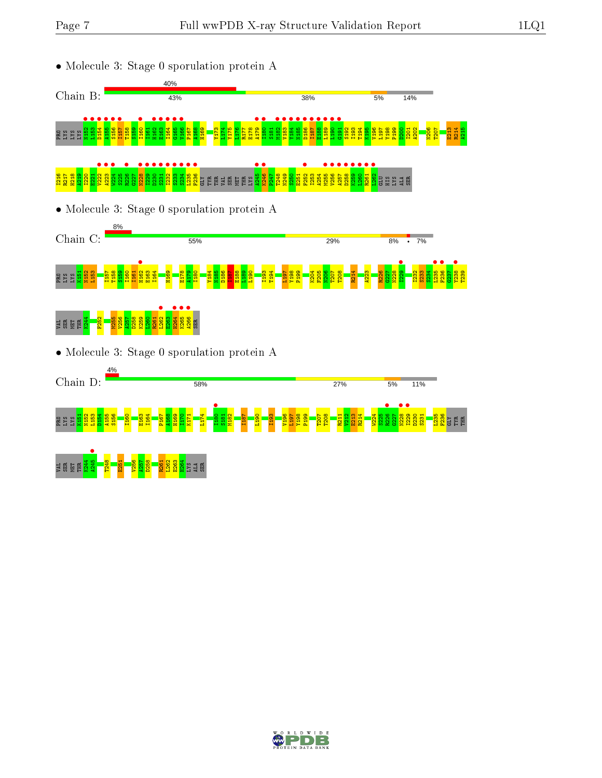







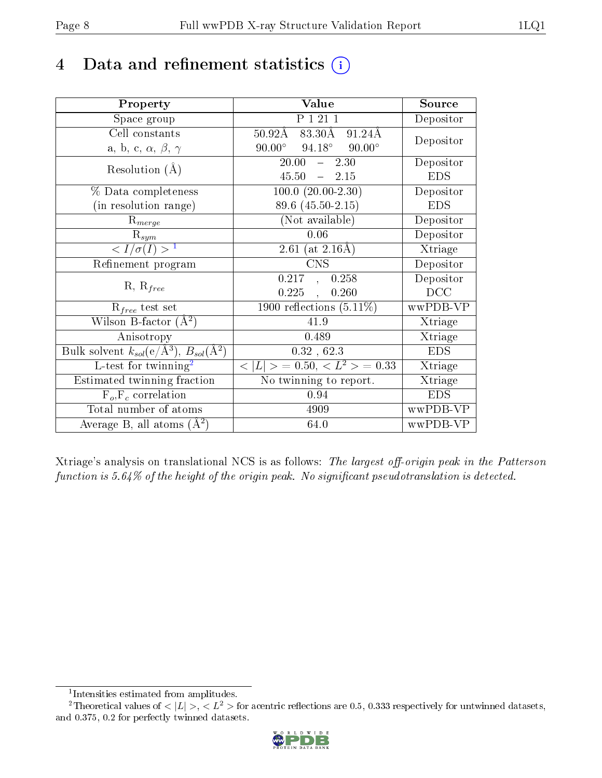## 4 Data and refinement statistics  $(i)$

| Property                                                                 | Value                                            | Source     |
|--------------------------------------------------------------------------|--------------------------------------------------|------------|
| Space group                                                              | P 1 21 1                                         | Depositor  |
| Cell constants                                                           | $83.30\text{\AA}$<br>$50.92\text{\AA}$<br>91.24Å | Depositor  |
| a, b, c, $\alpha$ , $\beta$ , $\gamma$                                   | $94.18^{\circ}$ $90.00^{\circ}$<br>$90.00^\circ$ |            |
| Resolution $(A)$                                                         | $-2.30$<br>20.00                                 | Depositor  |
|                                                                          | $45.50 = 2.15$                                   | <b>EDS</b> |
| % Data completeness                                                      | $100.0 (20.00 - 2.30)$                           | Depositor  |
| (in resolution range)                                                    | 89.6 (45.50-2.15)                                | <b>EDS</b> |
| $R_{merge}$                                                              | (Not available)                                  | Depositor  |
| $\mathbf{R}_{sym}$                                                       | 0.06                                             | Depositor  |
| $\langle I/\sigma(I) \rangle^{-1}$                                       | 2.61 (at $2.16\text{\AA}$ )                      | Xtriage    |
| Refinement program                                                       | <b>CNS</b>                                       | Depositor  |
|                                                                          | 0.217,<br>0.258                                  | Depositor  |
| $R, R_{free}$                                                            | $0.225$ ,<br>0.260                               | DCC        |
| $R_{free}$ test set                                                      | $1900$ reflections $(5.11\%)$                    | wwPDB-VP   |
| Wilson B-factor $(\AA^2)$                                                | 41.9                                             | Xtriage    |
| Anisotropy                                                               | 0.489                                            | Xtriage    |
| Bulk solvent $k_{sol}(\mathrm{e}/\mathrm{A}^3),$ $B_{sol}(\mathrm{A}^2)$ | 0.32, 62.3                                       | <b>EDS</b> |
| L-test for twinning <sup>2</sup>                                         | $< L >$ = 0.50, $< L^2 >$ = 0.33                 | Xtriage    |
| Estimated twinning fraction                                              | No twinning to report.                           | Xtriage    |
| $F_o, F_c$ correlation                                                   | 0.94                                             | <b>EDS</b> |
| Total number of atoms                                                    | 4909                                             | wwPDB-VP   |
| Average B, all atoms $(A^2)$                                             | 64.0                                             | wwPDB-VP   |

Xtriage's analysis on translational NCS is as follows: The largest off-origin peak in the Patterson function is  $5.64\%$  of the height of the origin peak. No significant pseudotranslation is detected.

<sup>&</sup>lt;sup>2</sup>Theoretical values of  $\langle |L| \rangle$ ,  $\langle L^2 \rangle$  for acentric reflections are 0.5, 0.333 respectively for untwinned datasets, and 0.375, 0.2 for perfectly twinned datasets.



<span id="page-7-1"></span><span id="page-7-0"></span><sup>1</sup> Intensities estimated from amplitudes.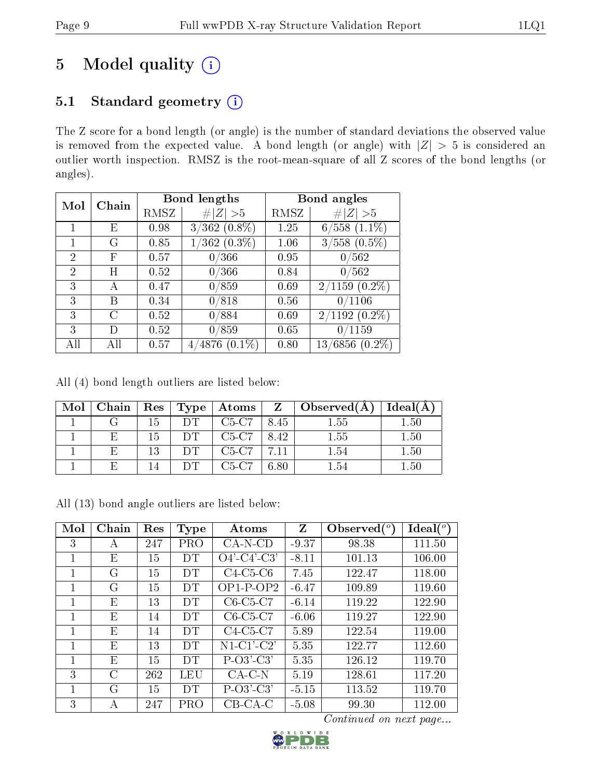# 5 Model quality  $(i)$

## 5.1 Standard geometry (i)

The Z score for a bond length (or angle) is the number of standard deviations the observed value is removed from the expected value. A bond length (or angle) with  $|Z| > 5$  is considered an outlier worth inspection. RMSZ is the root-mean-square of all Z scores of the bond lengths (or angles).

| Mol            | Chain |      | Bond lengths            |      | Bond angles                         |
|----------------|-------|------|-------------------------|------|-------------------------------------|
|                |       | RMSZ | # $ Z  > 5$             | RMSZ | Z   > 5                             |
|                | E     | 0.98 | $3/362$ $(0.8\%)$       | 1.25 | $6/558$ $(1.1\%)$                   |
|                | G     | 0.85 | $(362 (0.3\%)$          | 1.06 | $3/558$ $(0.5\%)$                   |
| 2              | F     | 0.57 | 0/366                   | 0.95 | 0/562                               |
| $\mathfrak{D}$ | Η     | 0.52 | 0/366                   | 0.84 | 0/562                               |
| 3              | А     | 0.47 | 0/859                   | 0.69 | $2/1159$ $(0.2\%)$                  |
| 3              | B     | 0.34 | 0/818                   | 0.56 | 0/1106                              |
| 3              | C     | 0.52 | 0/884                   | 0.69 | $2/1192(0.2\%)$                     |
| 3              | I)    | 0.52 | 0/859                   | 0.65 | 0/1159                              |
| All            | АH    | 0.57 | $(0.1\%)$<br>4876<br>4/ | 0.80 | $^{\prime}6856$<br>$(0.2\%)$<br>13/ |

All (4) bond length outliers are listed below:

| $Mol$   Chain |    | $\mid$ Res $\mid$ Type $\mid$ | $\mid$ Atoms $\mid$ |      | $\overline{Z}$   Observed(A) | Ideal(A) |
|---------------|----|-------------------------------|---------------------|------|------------------------------|----------|
|               | 15 |                               | C5-C7               | 8.45 | 1.55                         | $1.50\,$ |
| Н.            | 15 |                               | C5-C7               | 8.42 | 1.55                         | 1.50     |
| Н.            | 13 |                               | $C5-C7$             |      | 1.54                         | 1.50     |
|               | 14 | DT.                           | $C5-C7$             | 6.80 | 154                          | $1.50\,$ |

All (13) bond angle outliers are listed below:

| Mol | Chain   | Res | <b>Type</b> | Atoms          | Z       | Observed $\binom{o}{c}$ | $Ideal(^{\circ})$ |
|-----|---------|-----|-------------|----------------|---------|-------------------------|-------------------|
| 3   | А       | 247 | PRO         | $CA-N-CD$      | $-9.37$ | 98.38                   | 111.50            |
| 1   | Ε       | 15  | DT          | $O4'$ -C4'-C3' | $-8.11$ | 101.13                  | 106.00            |
| 1   | G       | 15  | DT          | $C4-C5-C6$     | 7.45    | 122.47                  | 118.00            |
| 1   | G       | 15  | <b>DT</b>   | $OP1-P-OP2$    | $-6.47$ | 109.89                  | 119.60            |
|     | E       | 13  | DT          | $C6-C5-C7$     | $-6.14$ | 119.22                  | 122.90            |
| 1   | Ε       | 14  | DT          | $C6-C5-C7$     | $-6.06$ | 119.27                  | 122.90            |
| 1   | E       | 14  | DT          | $C4-C5-C7$     | 5.89    | 122.54                  | 119.00            |
| 1   | E       | 13  | DT          | $N1-C1'-C2'$   | 5.35    | 122.77                  | 112.60            |
|     | E       | 15  | <b>DT</b>   | $P-O3'-C3'$    | 5.35    | 126.12                  | 119.70            |
| 3   | $\rm C$ | 262 | LEU         | $CA-C-N$       | 5.19    | 128.61                  | 117.20            |
| 1   | G       | 15  | DT          | $P-O3'-C3'$    | $-5.15$ | 113.52                  | 119.70            |
| 3   | А       | 247 | PRO         | $CB-CA-C$      | $-5.08$ | 99.30                   | 112.00            |

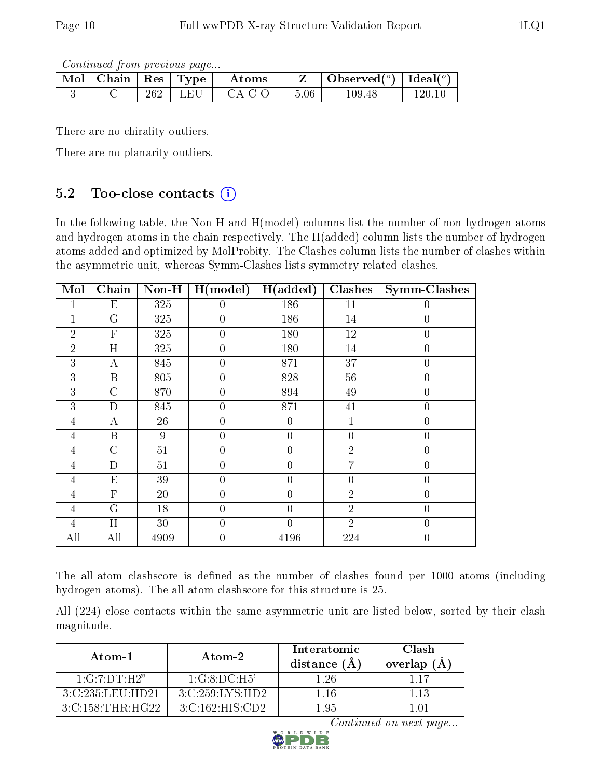Continued from previous page...

| $\parallel$ Mol $\parallel$ Chain $\parallel$ Res $\parallel$ Type $\parallel$ |     |         | Atoms  |         | Observed <sup>(<math>\circ</math>)</sup> [deal( $\circ$ ) |        |
|--------------------------------------------------------------------------------|-----|---------|--------|---------|-----------------------------------------------------------|--------|
|                                                                                | 262 | -1. F.T | CA-C-O | $-5.06$ | $109.48\,$                                                | 120 TL |

There are no chirality outliers.

There are no planarity outliers.

### 5.2 Too-close contacts  $(i)$

In the following table, the Non-H and H(model) columns list the number of non-hydrogen atoms and hydrogen atoms in the chain respectively. The H(added) column lists the number of hydrogen atoms added and optimized by MolProbity. The Clashes column lists the number of clashes within the asymmetric unit, whereas Symm-Clashes lists symmetry related clashes.

| Mol            | Chain          | Non-H | H (model)        | H(added)       | <b>Clashes</b> | <b>Symm-Clashes</b> |
|----------------|----------------|-------|------------------|----------------|----------------|---------------------|
|                | $E_{\rm}$      | 325   | $\theta$         | 186            | 11             | 0                   |
| 1              | G              | 325   | $\overline{0}$   | 186            | 14             | $\overline{0}$      |
| $\overline{2}$ | $\overline{F}$ | 325   | $\boldsymbol{0}$ | 180            | 12             | $\overline{0}$      |
| $\overline{2}$ | H              | 325   | $\overline{0}$   | 180            | 14             | $\boldsymbol{0}$    |
| 3              | $\overline{A}$ | 845   | $\boldsymbol{0}$ | 871            | 37             | $\boldsymbol{0}$    |
| 3              | B              | 805   | $\boldsymbol{0}$ | 828            | 56             | $\boldsymbol{0}$    |
| 3              | $\overline{C}$ | 870   | $\overline{0}$   | 894            | 49             | $\boldsymbol{0}$    |
| 3              | D              | 845   | $\overline{0}$   | 871            | 41             | $\overline{0}$      |
| 4              | А              | 26    | $\overline{0}$   | $\theta$       | 1              | $\overline{0}$      |
| $\overline{4}$ | B              | 9     | $\overline{0}$   | $\overline{0}$ | $\overline{0}$ | $\overline{0}$      |
| $\overline{4}$ | $\overline{C}$ | 51    | $\overline{0}$   | $\overline{0}$ | $\overline{2}$ | $\overline{0}$      |
| $\overline{4}$ | D              | 51    | $\overline{0}$   | $\overline{0}$ | 7              | $\overline{0}$      |
| $\overline{4}$ | E              | 39    | $\overline{0}$   | $\theta$       | $\overline{0}$ | $\overline{0}$      |
| 4              | $\overline{F}$ | 20    | $\overline{0}$   | $\theta$       | $\overline{2}$ | $\overline{0}$      |
| 4              | G              | 18    | $\overline{0}$   | $\theta$       | $\overline{2}$ | $\overline{0}$      |
| 4              | H              | 30    | $\overline{0}$   | $\theta$       | $\overline{2}$ | $\overline{0}$      |
| All            | All            | 4909  | $\overline{0}$   | 4196           | 224            | $\overline{0}$      |

The all-atom clashscore is defined as the number of clashes found per 1000 atoms (including hydrogen atoms). The all-atom clashscore for this structure is 25.

All (224) close contacts within the same asymmetric unit are listed below, sorted by their clash magnitude.

| Atom-1                                     | Atom-2             | Interatomic<br>distance (A | Clash<br>overlap $(A)$ |
|--------------------------------------------|--------------------|----------------------------|------------------------|
| 1:G:7:DT:H2"                               | 1:G:8:DC:H5'       | 1 26                       |                        |
| 3:C:235:LEU:HD21                           | 3:C:259:LYS:HD2    | 1 16                       | 1 13                   |
| $3 \cdot C \cdot 158 \cdot THR \cdot HG22$ | 3: C:162: HIS: CD2 | 195                        |                        |

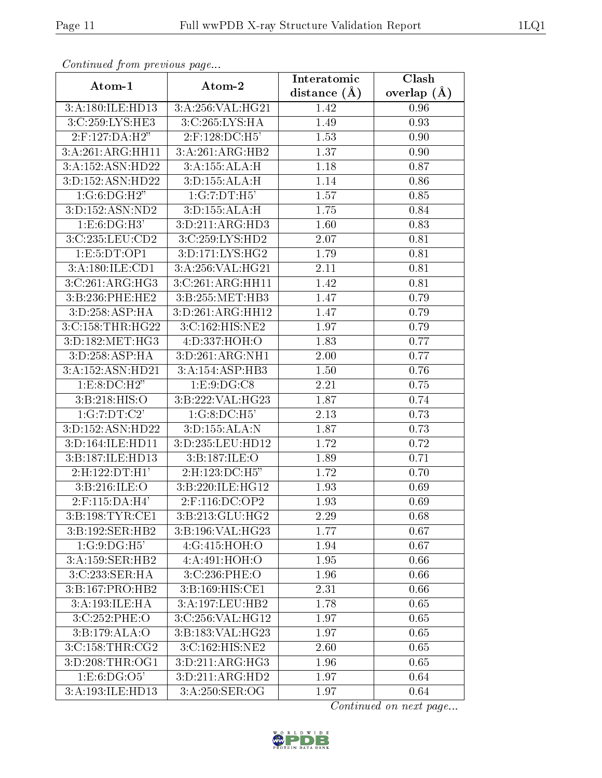| Continuea from previous page |                     | Interatomic      | Clash         |
|------------------------------|---------------------|------------------|---------------|
| Atom-1                       | Atom-2              | distance $(\AA)$ | overlap $(A)$ |
| 3:A:180:ILE:HD13             | 3:A:256:VAL:HG21    | 1.42             | 0.96          |
| 3:C:259:LYS:HE3              | 3:C:265:LYS:HA      | 1.49             | 0.93          |
| 2:F:127:DA:H2"               | 2:F:128:DC:H5'      | 1.53             | 0.90          |
| 3:A:261:ARG:HH11             | 3:A:261:ARG:HB2     | 1.37             | 0.90          |
| 3:A:152:ASN:HD22             | 3:A:155:ALA:H       | 1.18             | 0.87          |
| 3:D:152:ASN:HD22             | 3:D:155:ALA:H       | 1.14             | 0.86          |
| 1:G:6:DG:H2"                 | 1:G:7:DT:H5'        | 1.57             | 0.85          |
| 3:D:152:ASN:ND2              | 3:D:155:ALA:H       | 1.75             | 0.84          |
| 1: E:6: DG:H3'               | 3:D:211:ARG:HD3     | 1.60             | 0.83          |
| 3:C:235:LEU:CD2              | 3:C:259:LYS:HD2     | 2.07             | 0.81          |
| 1: E: 5: DT: OP1             | 3:D:171:LYS:HG2     | 1.79             | 0.81          |
| 3:A:180:ILE:CD1              | 3:A:256:VAL:HG21    | 2.11             | 0.81          |
| 3:C:261:ARG:HG3              | 3:C:261:ARG:HH11    | 1.42             | 0.81          |
| 3:B:236:PHE:HE2              | 3:B:255:MET:HB3     | 1.47             | 0.79          |
| 3:D:258:ASP:HA               | 3:D:261:ARG:HH12    | 1.47             | 0.79          |
| 3:C:158:THR:HG22             | 3:C:162:HIS:NE2     | 1.97             | 0.79          |
| 3:D:182:MET:HG3              | 4: D: 337: HOH: O   | 1.83             | 0.77          |
| 3:D:258:ASP:HA               | 3:D:261:ARG:NH1     | 2.00             | 0.77          |
| 3:A:152:ASN:HD21             | 3:A:154:ASP:HB3     | 1.50             | 0.76          |
| 1: E:8: DC:H2"               | 1: E: 9: DG: C8     | 2.21             | 0.75          |
| 3:B:218:HIS:O                | 3:B:222:VAL:HG23    | 1.87             | 0.74          |
| 1:G:7:DT:C2'                 | 1:G:8:DC:H5         | 2.13             | 0.73          |
| 3:D:152:ASN:HD22             | 3:D:155:ALA:N       | 1.87             | 0.73          |
| 3:D:164:ILE:HD11             | 3:D:235:LEU:HD12    | 1.72             | 0.72          |
| 3:B:187:ILE:HD13             | 3:B:187:ILE:O       | 1.89             | 0.71          |
| $2:$ H:122:DT:H1'            | 2:H:123:DC:H5"      | 1.72             | 0.70          |
| 3:B:216:ILE:O                | 3:B:220:ILE:HG12    | 1.93             | 0.69          |
| $2:$ F:115:DA:H4'            | 2:F:116:DC:OP2      | 1.93             | 0.69          |
| 3: B: 198: TYR: CE1          | 3:B:213:GLU:HG2     | 2.29             | 0.68          |
| 3:B:192:SER:HB2              | 3:B:196:VAL:HG23    | 1.77             | 0.67          |
| 1:G:9:DG:H5'                 | 4:G:415:HOH:O       | 1.94             | 0.67          |
| 3:A:159:SER:HB2              | 4: A:491:HOH:O      | 1.95             | 0.66          |
| 3:C:233:SER:HA               | 3:C:236:PHE:O       | 1.96             | 0.66          |
| 3:B:167:PRO:HB2              | 3:B:169:HIS:CE1     | 2.31             | 0.66          |
| 3:A:193:ILE:HA               | 3:A:197:LEU:HB2     | 1.78             | 0.65          |
| 3:C:252:PHE:O                | 3:C:256:VAL:HG12    | 1.97             | 0.65          |
| 3:B:179:ALA:O                | 3:B:183:VAL:HG23    | 1.97             | 0.65          |
| 3:C:158:THR:CG2              | 3:C:162:HIS:NE2     | 2.60             | 0.65          |
| 3:D:208:THR:OG1              | 3: D: 211: ARG: HG3 | 1.96             | 0.65          |
| 1: E: 6: DG: OS'             | 3:D:211:ARG:HD2     | 1.97             | 0.64          |
| 3:A:193:ILE:HD13             | 3:A:250:SER:OG      | 1.97             | 0.64          |

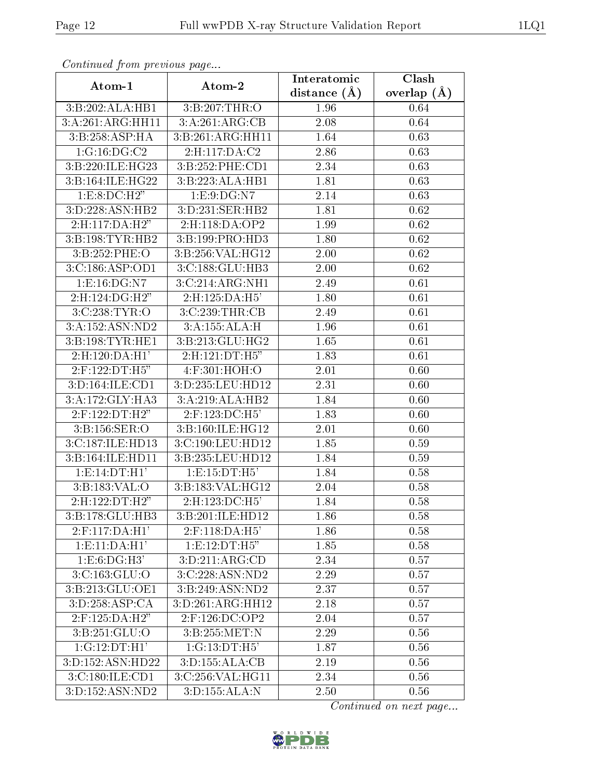| Continuea from previous page   |                    | Interatomic      | Clash         |
|--------------------------------|--------------------|------------------|---------------|
| Atom-1                         | Atom-2             | distance $(\AA)$ | overlap $(A)$ |
| 3: B:202: ALA:HB1              | 3:B:207:THR:O      | 1.96             | 0.64          |
| 3:A:261:ARG:HH11               | 3:A:261:ARG:CB     | 2.08             | 0.64          |
| 3:B:258:ASP:HA                 | 3:B:261:ARG:HH11   | 1.64             | 0.63          |
| 1:G:16:DG:C2                   | 2:H:117:DA:C2      | 2.86             | 0.63          |
| 3:B:220:ILE:HG23               | 3:B:252:PHE:CD1    | 2.34             | 0.63          |
| 3:B:164:ILE:HG22               | 3:B:223:ALA:HB1    | 1.81             | 0.63          |
| 1: E: 8: DC: H2"               | 1: E: 9: DG: N7    | 2.14             | 0.63          |
| 3:D:228:ASN:HB2                | 3:D:231:SER:HB2    | 1.81             | 0.62          |
| 2:H:117:DA:H2"                 | 2:H:118:DA:OP2     | 1.99             | 0.62          |
| 3:B:198:TYR:HB2                | 3:B:199:PRO:HD3    | 1.80             | 0.62          |
| 3:B:252:PHE:O                  | 3:B:256:VAL:HG12   | 2.00             | 0.62          |
| 3:C:186:ASP:OD1                | 3:C:188:GLU:HB3    | 2.00             | 0.62          |
| 1:E:16:DG:NT                   | 3:C:214:ARG:NH1    | 2.49             | 0.61          |
| $2: H: 124: D\overline{G:H2"$  | 2:H:125:DA:H5'     | 1.80             | 0.61          |
| 3:C:238:TYR:O                  | 3:C:239:THR:CB     | 2.49             | 0.61          |
| 3:A:152:ASN:ND2                | 3:A:155:ALA:H      | 1.96             | 0.61          |
| 3:B:198:TYR:HE1                | 3:B:213:GLU:HG2    | 1.65             | 0.61          |
| 2: H: 120: DA:H1'              | 2:H:121:DT:H5"     | 1.83             | 0.61          |
| 2:F:122:DT:H5"                 | 4:F:301:HOH:O      | 2.01             | 0.60          |
| 3:D:164:ILE:CD1                | 3:D:235:LEU:HD12   | 2.31             | $0.60\,$      |
| 3:A:172:GLY:HA3                | 3:A:219:ALA:HB2    | 1.84             | 0.60          |
| 2:F:122:DT:H2"                 | 2:F:123:DC:H5'     | 1.83             | 0.60          |
| 3:B:156:SER:O                  | 3:B:160:ILE:HG12   | 2.01             | 0.60          |
| 3:C:187:ILE:HD13               | 3:C:190:LEU:HD12   | 1.85             | 0.59          |
| 3:B:164:ILE:HD11               | 3:B:235:LEU:HD12   | 1.84             | 0.59          |
| 1: E: 14: DT:H1'               | 1:E:15:DT:H5'      | 1.84             | 0.58          |
| 3: B: 183: VAL: O              | 3:B:183:VAL:HG12   | 2.04             | 0.58          |
| $2: H: 122: D\overline{T:H2"}$ | 2:H:123:DC:H5'     | 1.84             | 0.58          |
| 3:B:178:GLU:HB3                | 3:B:201:ILE:HD12   | 1.86             | 0.58          |
| 2:F:117:DA:H1'                 | $2:$ F:118:DA:H5'  | 1.86             | 0.58          |
| 1: E: 11: DA:H1'               | 1:E:12:DT:H5"      | 1.85             | 0.58          |
| 1:E:6:DG:H3'                   | 3:D:211:ARG:CD     | 2.34             | 0.57          |
| $3:C:163:GL\overline{U:O}$     | 3:C:228:ASN:ND2    | 2.29             | 0.57          |
| 3:B:213:GLU:OE1                | 3:B:249:ASN:ND2    | 2.37             | 0.57          |
| 3:D:258:ASP:CA                 | 3: D:261: ARG:HH12 | 2.18             | 0.57          |
| 2:F:125:DA:H2"                 | 2:F:126:DC:OP2     | 2.04             | 0.57          |
| 3:B:251:GLU:O                  | 3:B:255:MET:N      | 2.29             | 0.56          |
| 1:G:12:DT:H1'                  | 1:G:13:DT:H5'      | 1.87             | 0.56          |
| 3:D:152:ASN:HD22               | 3:D:155:ALA:CB     | 2.19             | 0.56          |
| 3:C:180:ILE:CD1                | 3:C:256:VAL:HG11   | 2.34             | 0.56          |
| 3:D:152:ASN:ND2                | 3:D:155:ALA:N      | 2.50             | 0.56          |

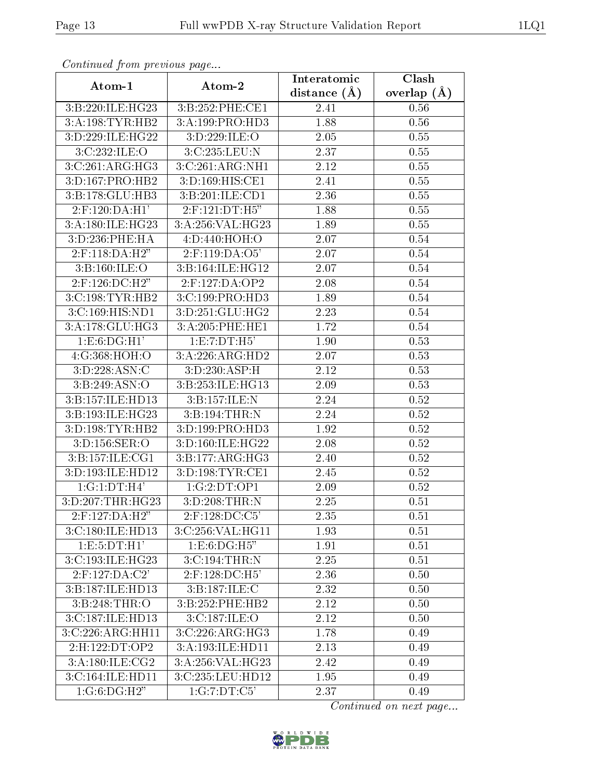| Continuea jiom previous page |                                 | Interatomic        | Clash           |
|------------------------------|---------------------------------|--------------------|-----------------|
| Atom-1                       | Atom-2                          | distance $(A)$     | overlap $(\AA)$ |
| 3:B:220:ILE:HG23             | 3:B:252:PHE:CE1                 | 2.41               | 0.56            |
| 3:A:198:TYR:HB2              | 3:A:199:PRO:HD3                 | 1.88               | 0.56            |
| 3:D:229:ILE:HG22             | 3:D:229:ILE:O                   | 2.05               | 0.55            |
| 3:C:232:ILE:O                | 3:C:235:LEU:N                   | 2.37               | 0.55            |
| 3:C:261:ARG:HG3              | 3:C:261:ARG:NH1                 | 2.12               | 0.55            |
| 3:D:167:PRO:HB2              | 3:D:169:HIS:CE1                 | 2.41               | 0.55            |
| 3:B:178:GLU:HB3              | 3:B:201:ILE:CD1                 | 2.36               | 0.55            |
| $2:$ F:120:DA:H1'            | 2:F:121:DT:H5"                  | 1.88               | 0.55            |
| 3:A:180:ILE:HG23             | 3:A:256:VAL:HG23                | 1.89               | 0.55            |
| 3:D:236:PHE:HA               | 4:D:440:HOH:O                   | 2.07               | 0.54            |
| 2:F:118:DA:H2"               | $2:$ F:119:DA: $\overline{O5'}$ | 2.07               | $0.54\,$        |
| 3:Bi:160:ILE:O               | 3:B:164:ILE:HG12                | 2.07               | 0.54            |
| 2:F:126:DC:H2"               | 2:F:127:DA:OP2                  | 2.08               | 0.54            |
| 3:C:198:TYR:HB2              | 3:C:199:PRO:HD3                 | 1.89               | 0.54            |
| 3:C:169:HIS:ND1              | 3:D:251:GLU:HG2                 | 2.23               | 0.54            |
| 3:A:178:GLU:HG3              | 3:A:205:PHE:HE1                 | $\overline{1}$ .72 | 0.54            |
| 1: E:6: DG:H1'               | 1:E:7:DT:H5'                    | 1.90               | 0.53            |
| 4:G:368:HOH:O                | 3:A:226:ARG:HD2                 | 2.07               | 0.53            |
| 3:D:228:ASN:C                | 3:D:230:ASP:H                   | 2.12               | 0.53            |
| 3: B: 249: ASN: O            | 3:B:253:ILE:HG13                | 2.09               | 0.53            |
| 3:B:157:ILE:HD13             | 3:B:157:ILE:N                   | 2.24               | 0.52            |
| 3:B:193:ILE:HG23             | 3:B:194:THR:N                   | 2.24               | 0.52            |
| 3:D:198:TYR:HB2              | 3:D:199:PRO:HD3                 | 1.92               | 0.52            |
| 3:D:156:SER:O                | 3:D:160:ILE:HG22                | 2.08               | 0.52            |
| 3:B:157:ILE:CG1              | 3:B:177:ARG:HG3                 | 2.40               | 0.52            |
| 3:D:193:ILE:HD12             | 3: D: 198: TYR: CE1             | 2.45               | 0.52            |
| $1:G:1:DT:H$ <sup>3</sup>    | 1:G:2:DT:OP1                    | 2.09               | 0.52            |
| 3:D:207:THR:HG23             | 3:D:208:THR:N                   | 2.25               | 0.51            |
| $2:$ F:127:DA:H2"            | 2:F:128:DC:C5'                  | 2.35               | 0.51            |
| 3:C:180:ILE:HD13             | 3:C:256:VAL:HG11                | 1.93               | 0.51            |
| 1:E:5:DT:H1'                 | 1: E: 6: DG: H5"                | 1.91               | 0.51            |
| 3:C:193:ILE:HG23             | 3: C: 194: THR:N                | 2.25               | 0.51            |
| $2:$ F:127:DA:C2'            | 2:F:128:DC:H5'                  | 2.36               | 0.50            |
| 3:B:187:ILE:HD13             | 3:B:187:ILE:C                   | 2.32               | 0.50            |
| 3:B:248:THR:O                | 3:B:252:PHE:HB2                 | 2.12               | 0.50            |
| 3:C:187:ILE:HD13             | 3:C:187:ILE:O                   | 2.12               | 0.50            |
| 3:C:226:ARG:HH11             | 3:C:226:ARG:HG3                 | 1.78               | 0.49            |
| 2:H:122:DT:OP2               | 3:A:193:ILE:HD11                | 2.13               | 0.49            |
| 3:A:180:ILE:CG2              | 3:A:256:VAL:HG23                | 2.42               | 0.49            |
| 3:C:164:ILE:HD11             | 3:C:235:LEU:HD12                | 1.95               | 0.49            |
| 1:G:6:DG:H2"                 | $1:G:7:\overline{DT:C5'}$       | 2.37               | 0.49            |

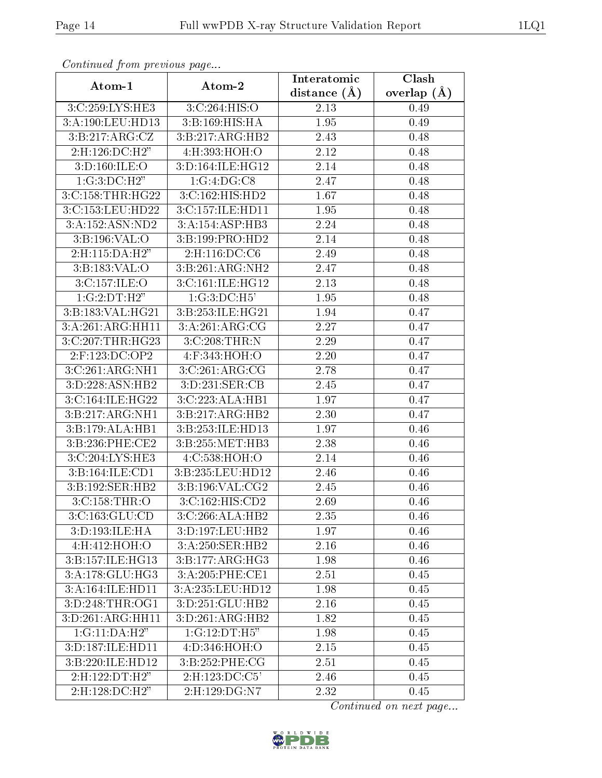| connungua pront providuo pugo  |                    | Interatomic    | Clash           |
|--------------------------------|--------------------|----------------|-----------------|
| Atom-1                         | Atom-2             | distance $(A)$ | overlap $(\AA)$ |
| 3:C:259:LYS:HE3                | 3:C:264:HIS:O      | 2.13           | 0.49            |
| 3:A:190:LEU:HD13               | 3:B:169:HIS:HA     | 1.95           | 0.49            |
| 3:Bi:217:ARG:CZ                | 3:B:217:ARG:HB2    | 2.43           | 0.48            |
| 2:H:126:DC:H2"                 | 4:H:393:HOH:O      | 2.12           | 0.48            |
| 3:D:160:ILE:O                  | 3:D:164:ILE:HG12   | 2.14           | 0.48            |
| 1:G:3:DC:H2"                   | 1:G:4:DG:CS        | 2.47           | 0.48            |
| 3:C:158:THR:HG22               | 3:C:162:HIS:HD2    | 1.67           | 0.48            |
| 3:C:153:LEU:HD22               | 3:C:157:ILE:HD11   | 1.95           | 0.48            |
| 3:A:152:ASN:ND2                | 3:A:154:ASP:HB3    | 2.24           | 0.48            |
| 3: B: 196: VAL: O              | 3:B:199:PRO:HD2    | 2.14           | 0.48            |
| 2:H:115:DA:H2"                 | 2:H:116:DC:C6      | 2.49           | 0.48            |
| 3: B: 183: VAL: O              | 3:B:261:ARG:NH2    | 2.47           | 0.48            |
| 3:C:157:ILE:O                  | 3:C:161:ILE:HG12   | 2.13           | 0.48            |
| 1:G:2:DT:H2"                   | $1:G:3:D$ C:H5'    | 1.95           | 0.48            |
| 3:B:183:VAL:HG21               | 3:B:253:ILE:HG21   | 1.94           | 0.47            |
| 3:A:261:ARG:HH11               | 3:A:261:ARG:CG     | 2.27           | 0.47            |
| $3:C:207$ : THR: HG23          | 3:C:208:THR:N      | 2.29           | 0.47            |
| $2:$ F:123:DC:OP2              | 4:F:343:HOH:O      | 2.20           | 0.47            |
| 3:C:261:ARG:NH1                | 3:C:261:ARG:CG     | 2.78           | 0.47            |
| 3:D:228:ASN:HB2                | 3:D:231:SER:CB     | 2.45           | 0.47            |
| 3:C:164:ILE:HG22               | 3:C:223:ALA:HB1    | 1.97           | 0.47            |
| 3:B:217:ARG:NH1                | 3:B:217:ARG:HB2    | 2.30           | 0.47            |
| 3:B:179:ALA:HB1                | 3:B:253:ILE:HD13   | 1.97           | 0.46            |
| 3:B:236:PHE:CE2                | 3:B:255:MET:HB3    | 2.38           | 0.46            |
| 3:C:204:LYS:HE3                | 4:C:538:HOH:O      | 2.14           | 0.46            |
| 3:B:164:ILE:CD1                | 3:B:235:LEU:HD12   | 2.46           | 0.46            |
| 3:B:192:SER:HB2                | 3:B:196:VAL:CG2    | 2.45           | 0.46            |
| 3: C: 158: THR:O               | 3:C:162:HIS:CD2    | 2.69           | 0.46            |
| 3:C:163:GLU:CD                 | 3:C:266:ALA:HB2    | 2.35           | 0.46            |
| 3:D:193:ILE:HA                 | 3:D:197:LEU:HB2    | 1.97           | 0.46            |
| 4:H:412:HOH:O                  | 3:A:250:SER:HB2    | 2.16           | 0.46            |
| $3:B:157:ILE:HG$ <sup>13</sup> | 3: B:177: ARG:HG3  | 1.98           | 0.46            |
| 3:A:178:GLU:HG3                | 3:A:205:PHE:CE1    | 2.51           | 0.45            |
| 3:A:164:ILE:HD11               | 3:A:235:LEU:HD12   | 1.98           | 0.45            |
| 3:D:248:THR:OG1                | 3:D:251:GLU:HB2    | 2.16           | 0.45            |
| 3:D:261:ARG:HH11               | 3:D:261:ARG:HB2    | 1.82           | 0.45            |
| 1:G:11:DA:H2"                  | 1:G:12:DT:H5"      | 1.98           | 0.45            |
| 3:D:187:ILE:HD11               | 4: D: 346: HOH:O   | 2.15           | 0.45            |
| 3:B:220:ILE:HD12               | 3: B:252: PHE: CG  | 2.51           | 0.45            |
| 2: H: 122: DT: H2"             | 2: H: 123: DC: C5' | 2.46           | 0.45            |
| $2:$ H:128:DC:H2"              | 2:H:129:DG:N7      | 2.32           | 0.45            |

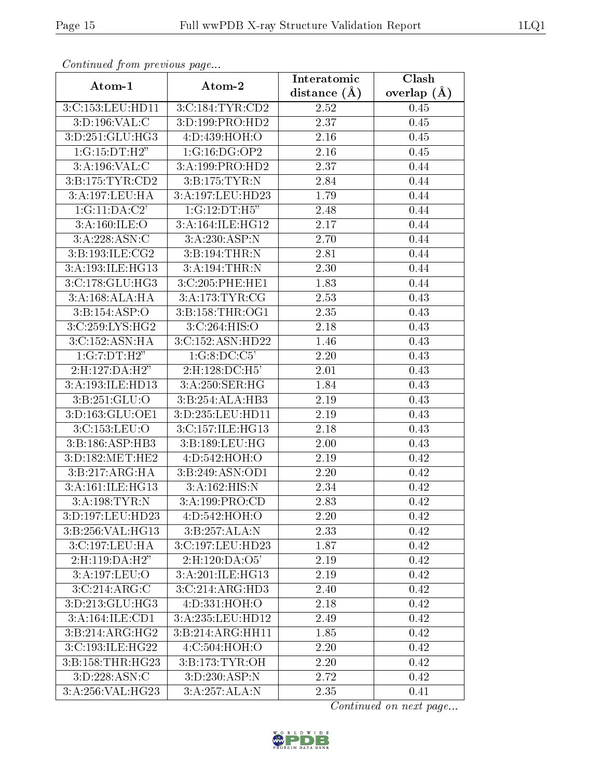| сонинией јтот ртеvious раде |                    | Interatomic    | Clash           |
|-----------------------------|--------------------|----------------|-----------------|
| Atom-1                      | Atom-2             | distance $(A)$ | overlap $(\AA)$ |
| 3:C:153:LEU:HD11            | 3:C:184:TYR:CD2    | 2.52           | 0.45            |
| 3:D:196:VAL:C               | 3:D:199:PRO:HD2    | 2.37           | $0.45\,$        |
| 3:D:251:GLU:HG3             | 4:D:439:HOH:O      | 2.16           | 0.45            |
| 1:G:15:DT:H2"               | 1:G:16:DG:OP2      | 2.16           | 0.45            |
| 3:A:196:VAL:C               | 3:A:199:PRO:HD2    | 2.37           | 0.44            |
| 3:B:175:TYR:CD2             | 3:B:175:TYR:N      | 2.84           | 0.44            |
| 3:A:197:LEU:HA              | 3:A:197:LEU:HD23   | 1.79           | 0.44            |
| 1:G:11:DA:C2'               | 1:G:12:DT:H5"      | 2.48           | 0.44            |
| 3:A:160:ILE:O               | 3:A:164:ILE:HG12   | 2.17           | 0.44            |
| 3:A:228:ASN:C               | 3:A:230:ASP:N      | 2.70           | 0.44            |
| 3:B:193:ILE:CG2             | 3:B:194:THR:N      | 2.81           | 0.44            |
| 3:A:193:ILE:HG13            | 3:A:194:THR:N      | 2.30           | 0.44            |
| 3:C:178:GLU:HG3             | 3:C:205:PHE:HE1    | 1.83           | 0.44            |
| 3:A:168:ALA:HA              | 3:A:173:TYR:CG     | 2.53           | 0.43            |
| 3:B:154:ASP:O               | 3: B:158: THR:OG1  | 2.35           | 0.43            |
| 3:C:259:LYS:HG2             | 3:C:264:HIS:O      | 2.18           | 0.43            |
| 3:C:152:ASN:HA              | 3:C:152:ASN:HD22   | 1.46           | 0.43            |
| 1:G:7:DT:H2"                | 1:G:8:DC:C5'       | 2.20           | 0.43            |
| 2: H: 127: DA: H2"          | $2:$ H:128:DC:H5'  | 2.01           | 0.43            |
| 3:A:193:ILE:HD13            | 3:A:250:SER:HG     | 1.84           | 0.43            |
| 3:B:251:GLU:O               | 3:B:254:ALA:HB3    | 2.19           | 0.43            |
| 3:D:163:GLU:OE1             | 3:D:235:LEU:HD11   | 2.19           | 0.43            |
| 3:C:153:LEU:O               | 3:C:157:ILE:HG13   | 2.18           | 0.43            |
| 3:B:186:ASP:HB3             | 3:B:189:LEU:HG     | 2.00           | 0.43            |
| 3:D:182:MET:HE2             | 4:D:542:HOH:O      | 2.19           | 0.42            |
| 3:B:217:ARG:HA              | 3:B:249:ASN:OD1    | 2.20           | 0.42            |
| 3:A:161:ILE:HG13            | 3:A:162:HIS:N      | 2.34           | 0.42            |
| 3:A:198:TYR:N               | 3:A:199:PRO:CD     | 2.83           | 0.42            |
| 3:D:197:LEU:HD23            | 4:D:542:HOH:O      | 2.20           | 0.42            |
| 3:B:256:VAL:HG13            | 3:B:257:ALA:N      | 2.33           | 0.42            |
| 3:C:197:LEU:HA              | 3:C:197:LEU:HD23   | 1.87           | 0.42            |
| $2:$ H:119:DA:H2"           | 2: H: 120: DA: O5' | 2.19           | 0.42            |
| 3:A:197:LEU:O               | 3:A:201:ILE:HG13   | 2.19           | 0.42            |
| 3:C:214:ARG:C               | 3:C:214:ARG:HD3    | 2.40           | 0.42            |
| 3:D:213:GLU:HG3             | 4:D:331:HOH:O      | 2.18           | 0.42            |
| 3:A:164:ILE:CD1             | 3:A:235:LEU:HD12   | 2.49           | 0.42            |
| 3:B:214:ARG:HG2             | 3:B:214:ARG:HH11   | 1.85           | 0.42            |
| 3:C:193:ILE:HG22            | 4:C:504:HOH:O      | 2.20           | 0.42            |
| 3:B:158:THR:HG23            | 3:B:173:TYR:OH     | 2.20           | 0.42            |
| 3:D:228:ASN:C               | 3:D:230:ASP:N      | 2.72           | 0.42            |
| 3:A:256:VAL:HG23            | 3:A:257:ALA:N      | 2.35           | 0.41            |

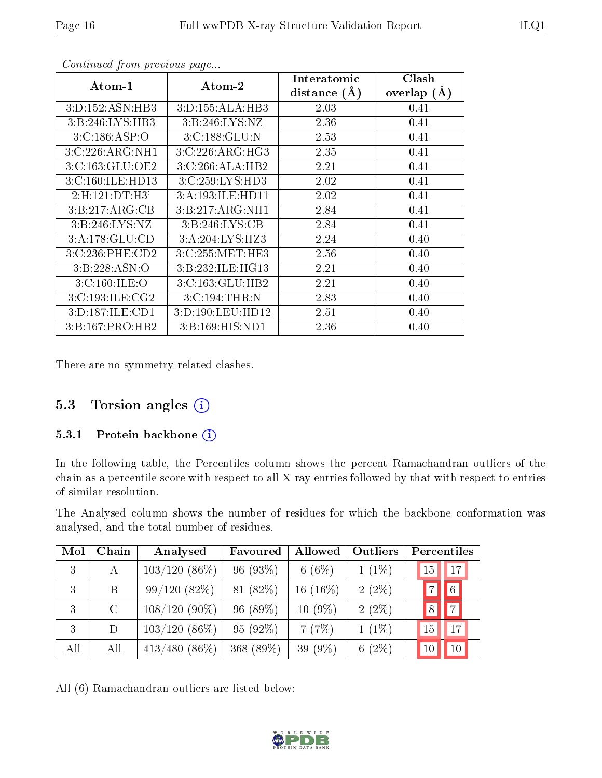| Atom-1              | Atom-2            | Interatomic<br>distance $(A)$ | Clash<br>overlap $(A)$ |
|---------------------|-------------------|-------------------------------|------------------------|
|                     |                   |                               |                        |
| 3: D: 152: ASN: HB3 | 3:D:155:ALA:HB3   | 2.03                          | 0.41                   |
| 3: B:246: LYS: HB3  | 3: B:246: LYS: NZ | 2.36                          | 0.41                   |
| 3:C:186:ASP:O       | 3:C:188:GLU:N     | 2.53                          | 0.41                   |
| 3:C:226:ARG:NH1     | 3:C:226:ARG:HG3   | 2.35                          | 0.41                   |
| 3:C:163:GLU:OE2     | 3:C:266:ALA:HB2   | 2.21                          | 0.41                   |
| 3:C:160:ILE:HD13    | 3:C:259:LYS:HD3   | 2.02                          | 0.41                   |
| 2:H:121:DT:H3'      | 3:A:193:ILE:HD11  | 2.02                          | 0.41                   |
| 3:B:217:ARG:CB      | 3:B:217:ARG:NH1   | 2.84                          | 0.41                   |
| 3:B:246:LYS:NZ      | 3: B:246: LYS: CB | 2.84                          | 0.41                   |
| 3:A:178:GLU:CD      | 3:A:204:LYS:HZ3   | 2.24                          | 0.40                   |
| 3:C:236:PHE:CD2     | 3:C:255:MET:HE3   | 2.56                          | 0.40                   |
| 3: B: 228: ASN: O   | 3:B:232:ILE:HG13  | 2.21                          | 0.40                   |
| 3:C:160:ILE:O       | 3:C:163:GLU:HB2   | 2.21                          | 0.40                   |
| 3:C:193:ILE:CG2     | 3:C:194:THR:N     | 2.83                          | 0.40                   |
| 3:D:187:ILE:CD1     | 3:D:190:LEU:HD12  | 2.51                          | 0.40                   |
| 3:B:167:PRO:HB2     | 3:B:169:HIS:ND1   | 2.36                          | 0.40                   |

There are no symmetry-related clashes.

#### 5.3 Torsion angles (i)

#### 5.3.1 Protein backbone (i)

In the following table, the Percentiles column shows the percent Ramachandran outliers of the chain as a percentile score with respect to all X-ray entries followed by that with respect to entries of similar resolution.

The Analysed column shows the number of residues for which the backbone conformation was analysed, and the total number of residues.

| Mol | Chain         | Analysed        | Favoured  | Allowed     | Outliers  | Percentiles          |
|-----|---------------|-----------------|-----------|-------------|-----------|----------------------|
| 3   | A             | $103/120(86\%)$ | 96 (93%)  | 6(6%)       | $1(1\%)$  | 17<br>15             |
| 3   | B             | 99/120(82%)     | 81 (82%)  | 16 $(16\%)$ | $2(2\%)$  | $\boxed{6}$          |
| 3   | $\mathcal{C}$ | $108/120(90\%)$ | 96 (89%)  | $10(9\%)$   | $2(2\%)$  | $\vert 7 \vert$<br>8 |
| 3   | D             | $103/120(86\%)$ | 95 (92%)  | 7(7%)       | $1(1\%)$  | 17<br>15             |
| All | All           | $413/480(86\%)$ | 368 (89%) | 39 (9%)     | 6 $(2\%)$ | 10<br>10             |

All (6) Ramachandran outliers are listed below:

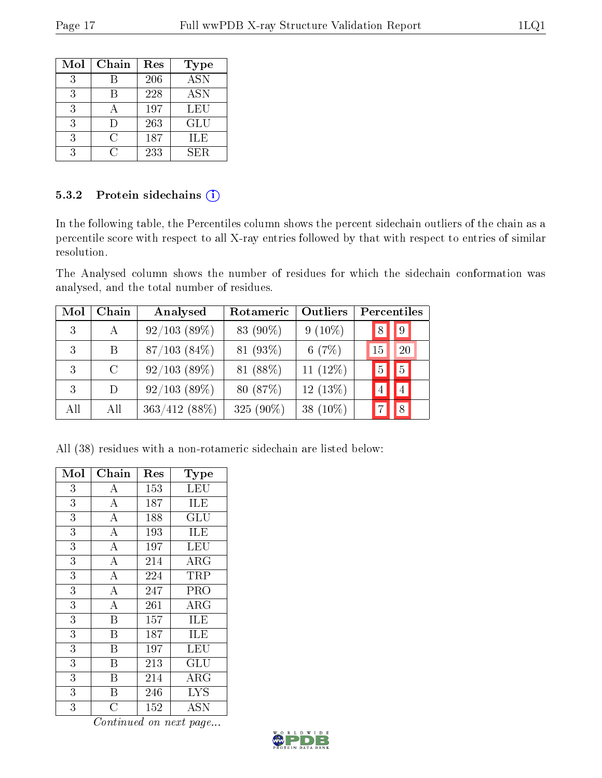| Mol | Chain | Res | Type             |
|-----|-------|-----|------------------|
| 3   |       | 206 | $\overline{ASN}$ |
| 3   |       | 228 | <b>ASN</b>       |
| 3   |       | 197 | LEU              |
| 3   | ו ו   | 263 | GLU              |
| 3   | C     | 187 | ILE              |
|     | . .   | 233 | SER.             |

#### 5.3.2 Protein sidechains (i)

In the following table, the Percentiles column shows the percent sidechain outliers of the chain as a percentile score with respect to all X-ray entries followed by that with respect to entries of similar resolution.

The Analysed column shows the number of residues for which the sidechain conformation was analysed, and the total number of residues.

| Mol | Chain   | Analysed          | Rotameric    | Outliers    | Percentiles         |
|-----|---------|-------------------|--------------|-------------|---------------------|
| 3   | А       | 92/103(89%)       | 83 (90%)     | $9(10\%)$   | 9                   |
| 3   | B       | $87/103$ $(84\%)$ | 81 (93%)     | 6(7%)       | 20<br>15            |
|     | $\rm C$ | $92/103$ (89%)    | 81 (88%)     | 11 $(12\%)$ | $\overline{5}$<br>5 |
| 3   | D       | 92/103(89%)       | 80 (87%)     | $12(13\%)$  |                     |
| All | All     | $363/412(88\%)$   | 325 $(90\%)$ | 38 $(10\%)$ | $\mathsf{R}$        |

All (38) residues with a non-rotameric sidechain are listed below:

| Mol            | Chain                   | Res | Type                 |
|----------------|-------------------------|-----|----------------------|
| 3              | А                       | 153 | LEU                  |
| 3              | $\boldsymbol{A}$        | 187 | ILE                  |
| 3              | $\overline{\rm A}$      | 188 | GLU                  |
| $\overline{3}$ | $\overline{\rm A}$      | 193 | ILE                  |
| 3              | $\overline{A}$          | 197 | <b>LEU</b>           |
| 3              | $\overline{\rm A}$      | 214 | $\rm{ARG}$           |
| 3              | $\overline{\rm A}$      | 224 | TRP                  |
| 3              | $\overline{A}$          | 247 | PRO                  |
| 3              | $\overline{\rm A}$      | 261 | $\rm{ARG}$           |
| 3              | B                       | 157 | ILE                  |
| 3              | $\overline{\mathrm{B}}$ | 187 | $\overline{\rm ILE}$ |
| 3              | B                       | 197 | LEU                  |
| 3              | Β                       | 213 | GLU                  |
| 3              | B                       | 214 | ${\rm ARG}$          |
| 3              | Β                       | 246 | <b>LYS</b>           |
| 3              | $\overline{\rm C}$      | 152 | <b>ASN</b>           |

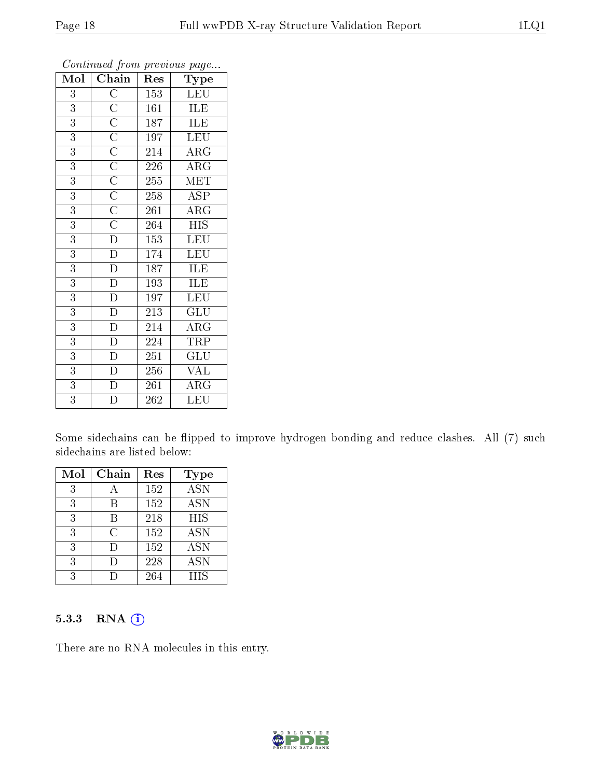| $\operatorname{Mol}\mid$ | Chain                                                                                                       | Res              | Type                    |
|--------------------------|-------------------------------------------------------------------------------------------------------------|------------------|-------------------------|
| $\overline{3}$           | $\overline{C}$                                                                                              | 153              | <b>LEU</b>              |
| 3                        | $\overline{C}$                                                                                              | 161              | <b>ILE</b>              |
| 3                        | $\overline{C}$                                                                                              | 187              | ILE                     |
| 3                        | $\overline{C}$                                                                                              | 197              | <b>LEU</b>              |
| $\overline{3}$           |                                                                                                             | 214              | $\rm{ARG}$              |
| $\overline{3}$           |                                                                                                             | 226              | $\overline{\rm{ARG}}$   |
| $\overline{3}$           | $\frac{\overline{C}}{\overline{C}}$ $\frac{\overline{C}}{\overline{C}}$ $\frac{\overline{C}}{\overline{C}}$ | 255              | <b>MET</b>              |
| $\overline{3}$           |                                                                                                             | 258              | <b>ASP</b>              |
| $\overline{3}$           |                                                                                                             | 261              | $AR\overline{G}$        |
| 3                        |                                                                                                             | 264              | <b>HIS</b>              |
| 3                        | $\overline{D}$                                                                                              | 153              | LEU                     |
| $\overline{3}$           | $\overline{\rm D}$                                                                                          | 174              | $\overline{\text{LEU}}$ |
| $\overline{3}$           | $\overline{\rm D}$                                                                                          | 187              | ILE                     |
| $\overline{3}$           | $\overline{\rm D}$                                                                                          | 193              | ILE                     |
| $\overline{3}$           | $\overline{D}$                                                                                              | 197              | LEU                     |
| $\overline{3}$           | $\overline{D}$                                                                                              | 213              | GLU                     |
| 3                        | $\overline{\rm D}$                                                                                          | 214              | $\rm{ARG}$              |
| 3                        | D                                                                                                           | 224              | TRP                     |
| $\overline{3}$           | $\overline{\rm D}$                                                                                          | 251              | GLU                     |
| 3                        | $\overline{D}$                                                                                              | 256              | <b>VAL</b>              |
| $\overline{3}$           | $\overline{\rm D}$                                                                                          | 261              | $\rm{ARG}$              |
| $\overline{3}$           | $\overline{\rm D}$                                                                                          | $\overline{262}$ | LEU                     |

Some sidechains can be flipped to improve hydrogen bonding and reduce clashes. All (7) such sidechains are listed below:

| Mol | Chain | Res | Type       |
|-----|-------|-----|------------|
| 3   |       | 152 | <b>ASN</b> |
| 3   | R     | 152 | <b>ASN</b> |
| 3   | В     | 218 | <b>HIS</b> |
| 3   | С     | 152 | <b>ASN</b> |
| 3   | Ð     | 152 | <b>ASN</b> |
| 3   |       | 228 | <b>ASN</b> |
| २   |       | 264 | <b>HIS</b> |

#### 5.3.3 RNA (i)

There are no RNA molecules in this entry.

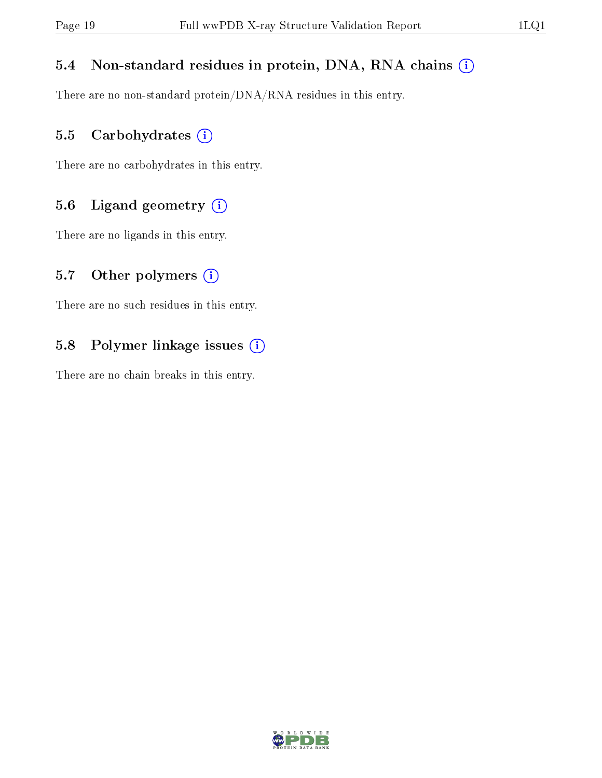#### 5.4 Non-standard residues in protein, DNA, RNA chains (i)

There are no non-standard protein/DNA/RNA residues in this entry.

#### 5.5 Carbohydrates (i)

There are no carbohydrates in this entry.

#### 5.6 Ligand geometry (i)

There are no ligands in this entry.

#### 5.7 [O](https://www.wwpdb.org/validation/2017/XrayValidationReportHelp#nonstandard_residues_and_ligands)ther polymers  $(i)$

There are no such residues in this entry.

#### 5.8 Polymer linkage issues (i)

There are no chain breaks in this entry.

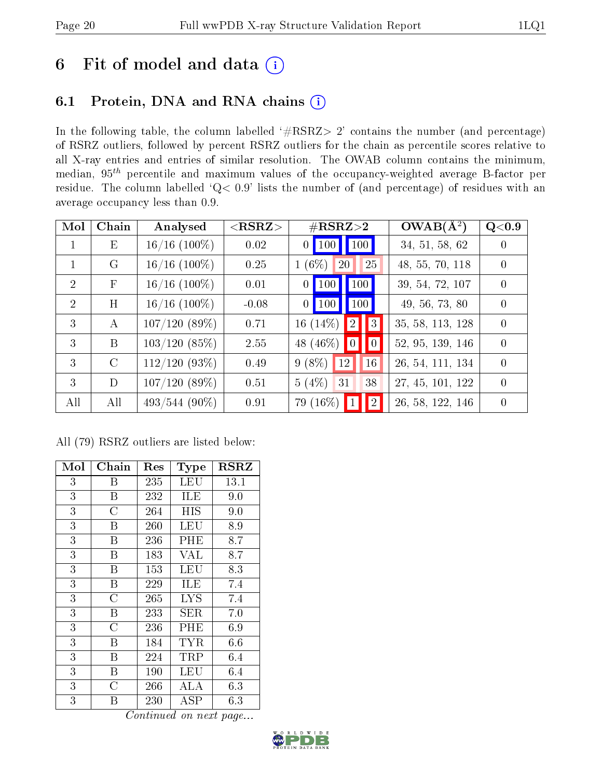## 6 Fit of model and data  $(i)$

## 6.1 Protein, DNA and RNA chains  $(i)$

In the following table, the column labelled  $#RSRZ> 2'$  contains the number (and percentage) of RSRZ outliers, followed by percent RSRZ outliers for the chain as percentile scores relative to all X-ray entries and entries of similar resolution. The OWAB column contains the minimum, median,  $95<sup>th</sup>$  percentile and maximum values of the occupancy-weighted average B-factor per residue. The column labelled ' $Q< 0.9$ ' lists the number of (and percentage) of residues with an average occupancy less than 0.9.

| Mol            | Chain         | Analysed        | $<$ RSRZ $>$ | $\#\text{RSRZ}\text{>2}$          | $OWAB(\AA^2)$    | Q <sub>0.9</sub> |
|----------------|---------------|-----------------|--------------|-----------------------------------|------------------|------------------|
| $\mathbf{1}$   | Ε             | $16/16$ (100%)  | 0.02         | $0$ 100 100                       | 34, 51, 58, 62   | $\overline{0}$   |
|                | G             | $16/16$ (100%)  | 0.25         | $(6\%)$<br>25<br><b>20</b>        | 48, 55, 70, 118  | $\theta$         |
| $\overline{2}$ | F             | $16/16$ (100%)  | 0.01         | $0$   100  <br>100                | 39, 54, 72, 107  | $\theta$         |
| $\overline{2}$ | H             | $16/16$ (100\%) | $-0.08$      | $0$   100  <br>100                | 49, 56, 73, 80   | $\theta$         |
| 3              | А             | 107/120(89%)    | 0.71         | 16 (14\%) $\boxed{2}$<br> 3       | 35, 58, 113, 128 | $\theta$         |
| $\mathcal{E}$  | B             | 103/120(85%)    | 2.55         | 48 (46\%) $ 0 $<br>$\widehat{10}$ | 52, 95, 139, 146 | $\theta$         |
| 3              | $\mathcal{C}$ | $112/120(93\%)$ | 0.49         | $9(8\%)$<br> 12 <br>16            | 26, 54, 111, 134 | $\theta$         |
| 3              | D             | 107/120(89%)    | 0.51         | 5(4%)<br>31<br>38                 | 27, 45, 101, 122 | $\theta$         |
| All            | All           | $493/544(90\%)$ | 0.91         | 79 (16\%)<br> 2                   | 26, 58, 122, 146 | $\theta$         |

All (79) RSRZ outliers are listed below:

| Mol            | Chain          | Res                    | Type       | $_{\rm RSRZ}$ |
|----------------|----------------|------------------------|------------|---------------|
| 3              | Β              | 235                    | LEU        | 13.1          |
| $\overline{3}$ | Β              | 232                    | ILE        | 9.0           |
| $\overline{3}$ | $\overline{C}$ | 264                    | HIS        | 9.0           |
| 3              | Β              | 260                    | LEU        | 8.9           |
| $\overline{3}$ | B              | 236                    | PHE        | 8.7           |
| $\overline{3}$ | B              | 183                    | <b>VAL</b> | 8.7           |
| $\overline{3}$ | B              | 153                    | LEU        | 8.3           |
| 3              | Β              | 229                    | ILE        | 7.4           |
| $\overline{3}$ | $\overline{C}$ | 265                    | <b>LYS</b> | 7.4           |
| $\overline{3}$ | B              | 233                    | SER        | 7.0           |
| 3              | $\overline{C}$ | 236                    | PHE        | 6.9           |
| $\overline{3}$ | B              | 184                    | TYR        | 6.6           |
| $\overline{3}$ | B              | 224                    | TRP        | 6.4           |
| 3              | Β              | 190                    | LEU        | 6.4           |
| 3              | C              | 266                    | ALA        | 6.3           |
| $\overline{3}$ | Β<br>⌒         | 230<br>$\cdot$ $\cdot$ | ASP<br>7   | 6.3           |

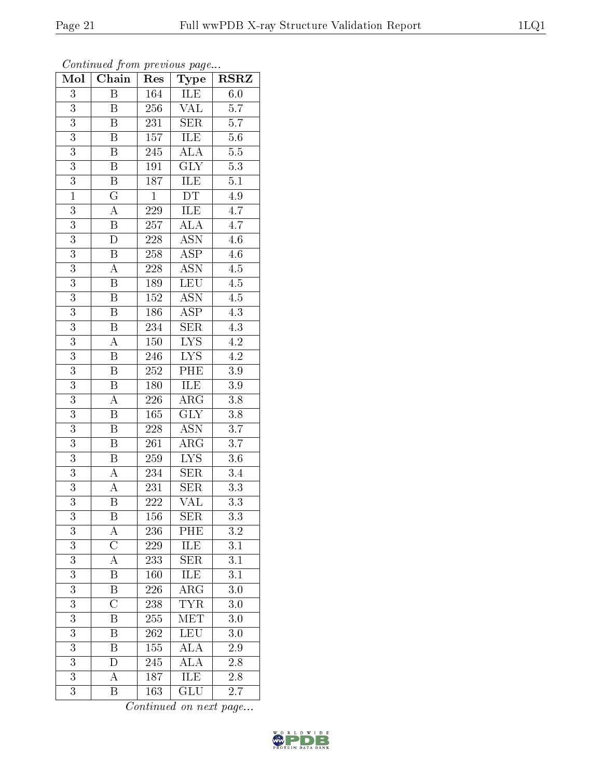| Continuea from previous page |                           |                  |                           |                  |  |
|------------------------------|---------------------------|------------------|---------------------------|------------------|--|
| Mol                          | Chain                     | Res              | Type                      | <b>RSRZ</b>      |  |
| 3                            | Β                         | 164              | ILE                       | 6.0              |  |
| 3                            | B                         | 256              | VAL                       | 5.7              |  |
| $\overline{3}$               | $\overline{\mathrm{B}}$   | 231              | <b>SER</b>                | 5.7              |  |
| 3                            | B                         | 157              | ILE                       | $5.6\,$          |  |
| $\overline{3}$               | $\overline{\mathrm{B}}$   | 245              | $\overline{\rm ALA}$      | $\overline{5.5}$ |  |
| $\overline{3}$               | Β                         | 191              | <b>GLY</b>                | 5.3              |  |
| 3                            | $\boldsymbol{\mathrm{B}}$ | $\overline{1}87$ | ILE                       | 5.1              |  |
| $\mathbf{1}$                 | $\overline{\mathrm{G}}$   | $\mathbf{1}$     | $\overline{DT}$           | 4.9              |  |
| 3                            | A                         | 229              | ILE                       | 4.7              |  |
| $\overline{3}$               | $\overline{\mathrm{B}}$   | 257              | $\overline{\rm ALA}$      | 4.7              |  |
| 3                            | D                         | 228              | <b>ASN</b>                | 4.6              |  |
| $\overline{3}$               | $\boldsymbol{B}$          | 258              | $\overline{\rm ASP}$      | 4.6              |  |
| $\overline{3}$               | А                         | 228              | ASN                       | 4.5              |  |
| $\overline{3}$               | B                         | 189              | LEU                       | 4.5              |  |
| $\overline{3}$               | $\boldsymbol{B}$          | 152              | $\overline{\text{ASN}}$   | 4.5              |  |
| 3                            | Β                         | 186              | ASP                       | 4.3              |  |
| $\overline{3}$               | $\overline{\mathrm{B}}$   | 234              | <b>SER</b>                | $\overline{4.3}$ |  |
| 3                            | А                         | 150              | LYS                       | 4.2              |  |
| 3                            | B                         | 246              | <b>LYS</b>                | $4.\overline{2}$ |  |
| $\overline{3}$               | $\overline{\mathrm{B}}$   | 252              | PHE                       | 3.9              |  |
| 3                            | $\boldsymbol{\mathrm{B}}$ | 180              | ILE                       | $3.9\,$          |  |
| $\overline{3}$               | A                         | 226              | ARG                       | 3.8              |  |
| 3                            | B                         | 165              | <b>GLY</b>                | 3.8              |  |
| $\overline{3}$               | $\overline{\mathrm{B}}$   | 228              | $\overline{\mathrm{ASN}}$ | $\overline{3.7}$ |  |
| 3                            | B                         | 261              | $\rm{ARG}$                | 3.7              |  |
| 3                            | B                         | 259              | $\overline{\text{LYS}}$   | $3.6\,$          |  |
| $\overline{3}$               | A                         | 234              | <b>SER</b>                | 3.4              |  |
| $\overline{3}$               | A                         | 231              | $\overline{\text{SER}}$   | $3.3\,$          |  |
| $\overline{3}$               | Β                         | 222              | VAL                       | $\overline{3.3}$ |  |
| 3                            | Β                         | 156              | SER                       | 3.3              |  |
| 3                            | А                         | 236              | PHE                       | 3.2              |  |
| $\overline{3}$               | $\overline{\rm C}$        | 229              | $\overline{\text{LE}}$    | 3.1              |  |
| $\overline{3}$               | A                         | 233              | <b>SER</b>                | 3.1              |  |
| $\overline{3}$               | Β                         | 160              | <b>ILE</b>                | 3.1              |  |
| 3                            | B                         | 226              | $\rm{ARG}$                | 3.0              |  |
| $\overline{3}$               | $\overline{\rm C}$        | 238              | $\overline{\text{TYR}}$   | 3.0              |  |
| 3                            | B                         | 255              | <b>MET</b>                | 3.0              |  |
| 3                            | Β                         | 262              | <b>LEU</b>                | 3.0              |  |
| 3                            | $\overline{\mathrm{B}}$   | 155              | $\overline{\rm ALA}$      | 2.9              |  |
| 3                            | D                         | 245              | ĀLA                       | 2.8              |  |
| 3                            | А                         | 187              | ILE                       | 2.8              |  |
| 3                            | $\, {\bf B}$              | 163              | GLU                       | 2.7              |  |